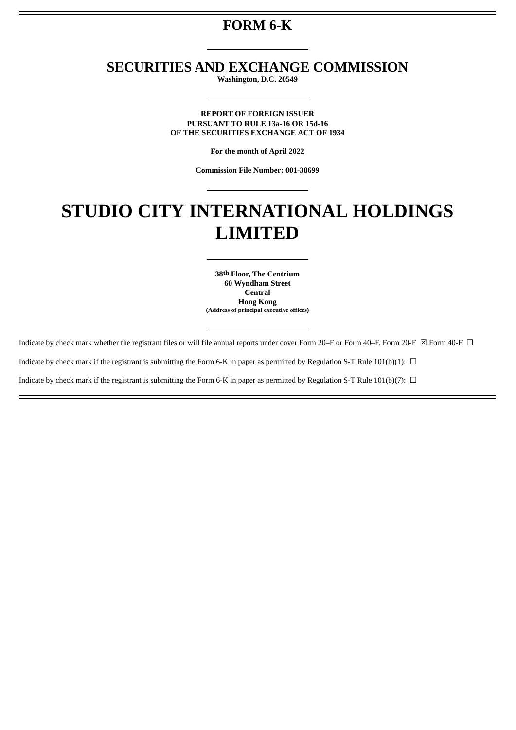## **FORM 6-K**

### **SECURITIES AND EXCHANGE COMMISSION**

**Washington, D.C. 20549**

**REPORT OF FOREIGN ISSUER PURSUANT TO RULE 13a-16 OR 15d-16 OF THE SECURITIES EXCHANGE ACT OF 1934**

**For the month of April 2022**

**Commission File Number: 001-38699**

# **STUDIO CITY INTERNATIONAL HOLDINGS LIMITED**

**38th Floor, The Centrium 60 Wyndham Street Central Hong Kong (Address of principal executive offices)**

Indicate by check mark whether the registrant files or will file annual reports under cover Form 20–F or Form 40–F. Form 20−F  $\boxtimes$  Form 40–F  $\Box$ Indicate by check mark if the registrant is submitting the Form 6-K in paper as permitted by Regulation S-T Rule 101(b)(1):  $\Box$ 

Indicate by check mark if the registrant is submitting the Form 6-K in paper as permitted by Regulation S-T Rule 101(b)(7):  $\Box$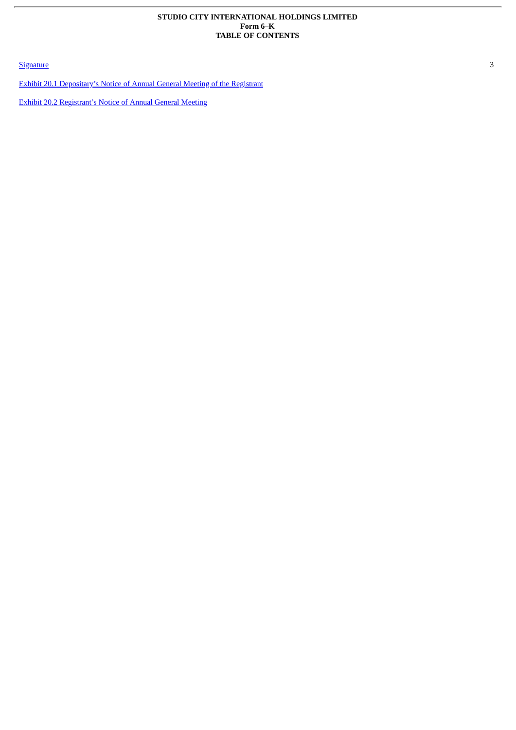#### **STUDIO CITY INTERNATIONAL HOLDINGS LIMITED Form 6–K TABLE OF CONTENTS**

**[Signature](#page-2-0)** 3

Exhibit 20.1 [Depositary's](http://www.sec.gov/Archives/edgar/data/0001713334/000119312521125525/d133994dex201.htm) Notice of Annual General Meeting of the Registrant

Exhibit 20.2 [Registrant's](http://www.sec.gov/Archives/edgar/data/0001713334/000119312521125525/d133994dex202.htm) Notice of Annual General Meeting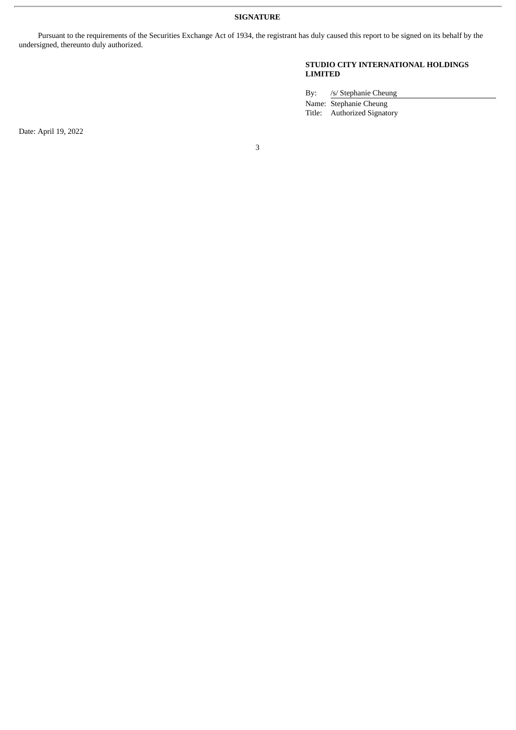**SIGNATURE**

<span id="page-2-0"></span>Pursuant to the requirements of the Securities Exchange Act of 1934, the registrant has duly caused this report to be signed on its behalf by the undersigned, thereunto duly authorized.

#### **STUDIO CITY INTERNATIONAL HOLDINGS LIMITED**

By: /s/ Stephanie Cheung Name: Stephanie Cheung

Title: Authorized Signatory

Date: April 19, 2022

3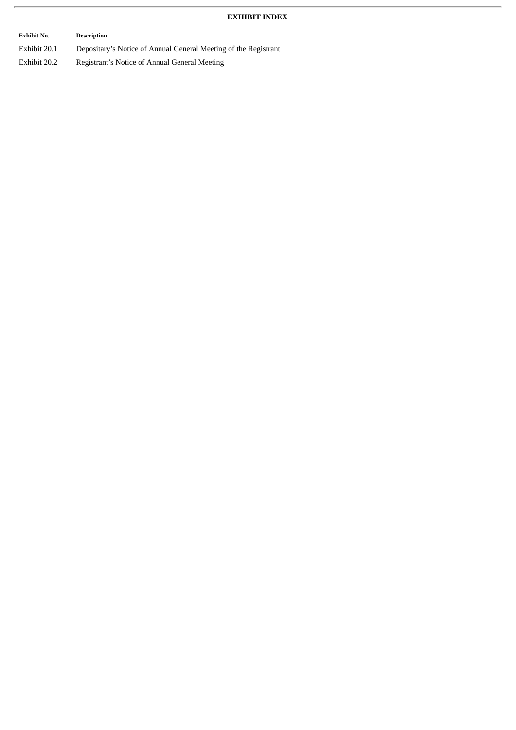#### **EXHIBIT INDEX**

#### **Exhibit No. Description**

Exhibit 20.1 Depositary's Notice of Annual General Meeting of the Registrant

Exhibit 20.2 Registrant's Notice of Annual General Meeting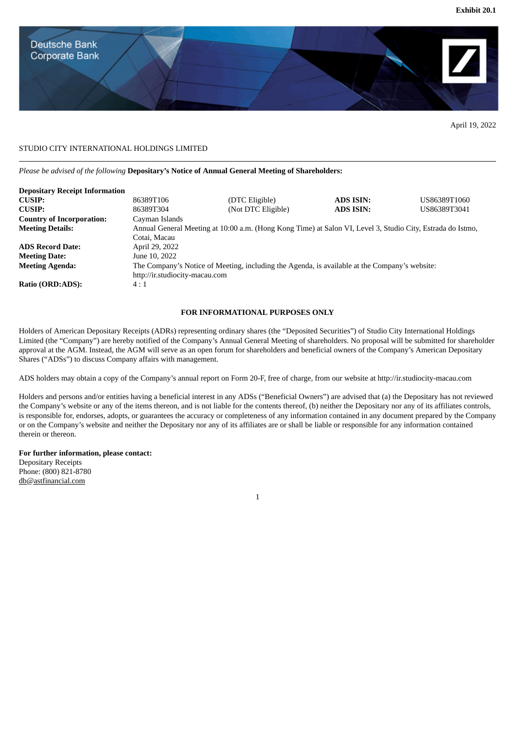

April 19, 2022

**Exhibit 20.1**

#### STUDIO CITY INTERNATIONAL HOLDINGS LIMITED

*Please be advised of the following* **Depositary's Notice of Annual General Meeting of Shareholders:**

| <b>Depositary Receipt Information</b> |                                                                                                            |                    |                  |              |
|---------------------------------------|------------------------------------------------------------------------------------------------------------|--------------------|------------------|--------------|
| <b>CUSIP:</b>                         | 86389T106                                                                                                  | (DTC Eligible)     | <b>ADS ISIN:</b> | US86389T1060 |
| <b>CUSIP:</b>                         | 86389T304                                                                                                  | (Not DTC Eligible) | <b>ADS ISIN:</b> | US86389T3041 |
| <b>Country of Incorporation:</b>      | Cayman Islands                                                                                             |                    |                  |              |
| <b>Meeting Details:</b>               | Annual General Meeting at 10:00 a.m. (Hong Kong Time) at Salon VI, Level 3, Studio City, Estrada do Istmo, |                    |                  |              |
|                                       | Cotai, Macau                                                                                               |                    |                  |              |
| <b>ADS Record Date:</b>               | April 29, 2022                                                                                             |                    |                  |              |
| <b>Meeting Date:</b>                  | June 10, 2022                                                                                              |                    |                  |              |
| <b>Meeting Agenda:</b>                | The Company's Notice of Meeting, including the Agenda, is available at the Company's website:              |                    |                  |              |
|                                       | http://ir.studiocity-macau.com                                                                             |                    |                  |              |
| Ratio (ORD:ADS):                      | 4:1                                                                                                        |                    |                  |              |

#### **FOR INFORMATIONAL PURPOSES ONLY**

Holders of American Depositary Receipts (ADRs) representing ordinary shares (the "Deposited Securities") of Studio City International Holdings Limited (the "Company") are hereby notified of the Company's Annual General Meeting of shareholders. No proposal will be submitted for shareholder approval at the AGM. Instead, the AGM will serve as an open forum for shareholders and beneficial owners of the Company's American Depositary Shares ("ADSs") to discuss Company affairs with management.

ADS holders may obtain a copy of the Company's annual report on Form 20-F, free of charge, from our website at http://ir.studiocity-macau.com

Holders and persons and/or entities having a beneficial interest in any ADSs ("Beneficial Owners") are advised that (a) the Depositary has not reviewed the Company's website or any of the items thereon, and is not liable for the contents thereof, (b) neither the Depositary nor any of its affiliates controls, is responsible for, endorses, adopts, or guarantees the accuracy or completeness of any information contained in any document prepared by the Company or on the Company's website and neither the Depositary nor any of its affiliates are or shall be liable or responsible for any information contained therein or thereon.

1

#### **For further information, please contact:**

Depositary Receipts Phone: (800) 821-8780 db@astfinancial.com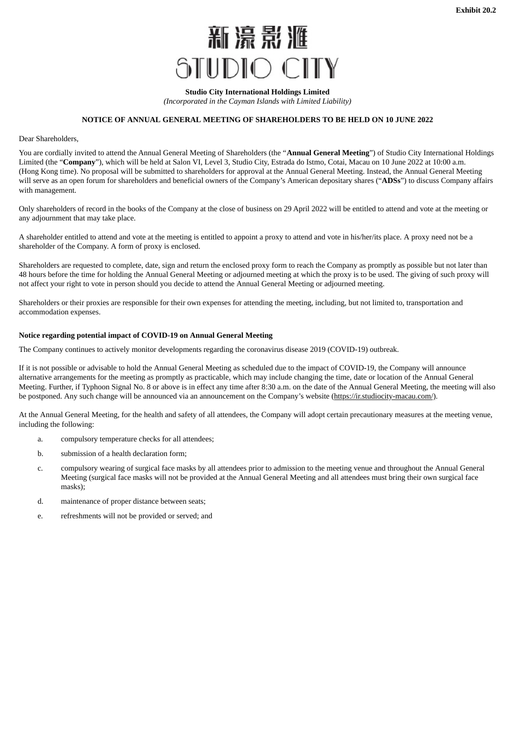# 新濠影滙 STUDIO CITY

**Studio City International Holdings Limited**

*(Incorporated in the Cayman Islands with Limited Liability)*

#### **NOTICE OF ANNUAL GENERAL MEETING OF SHAREHOLDERS TO BE HELD ON 10 JUNE 2022**

Dear Shareholders,

You are cordially invited to attend the Annual General Meeting of Shareholders (the "**Annual General Meeting**") of Studio City International Holdings Limited (the "**Company**"), which will be held at Salon VI, Level 3, Studio City, Estrada do Istmo, Cotai, Macau on 10 June 2022 at 10:00 a.m. (Hong Kong time). No proposal will be submitted to shareholders for approval at the Annual General Meeting. Instead, the Annual General Meeting will serve as an open forum for shareholders and beneficial owners of the Company's American depositary shares ("**ADSs**") to discuss Company affairs with management.

Only shareholders of record in the books of the Company at the close of business on 29 April 2022 will be entitled to attend and vote at the meeting or any adjournment that may take place.

A shareholder entitled to attend and vote at the meeting is entitled to appoint a proxy to attend and vote in his/her/its place. A proxy need not be a shareholder of the Company. A form of proxy is enclosed.

Shareholders are requested to complete, date, sign and return the enclosed proxy form to reach the Company as promptly as possible but not later than 48 hours before the time for holding the Annual General Meeting or adjourned meeting at which the proxy is to be used. The giving of such proxy will not affect your right to vote in person should you decide to attend the Annual General Meeting or adjourned meeting.

Shareholders or their proxies are responsible for their own expenses for attending the meeting, including, but not limited to, transportation and accommodation expenses.

#### **Notice regarding potential impact of COVID-19 on Annual General Meeting**

The Company continues to actively monitor developments regarding the coronavirus disease 2019 (COVID-19) outbreak.

If it is not possible or advisable to hold the Annual General Meeting as scheduled due to the impact of COVID-19, the Company will announce alternative arrangements for the meeting as promptly as practicable, which may include changing the time, date or location of the Annual General Meeting. Further, if Typhoon Signal No. 8 or above is in effect any time after 8:30 a.m. on the date of the Annual General Meeting, the meeting will also be postponed. Any such change will be announced via an announcement on the Company's website (https://ir.studiocity-macau.com/).

At the Annual General Meeting, for the health and safety of all attendees, the Company will adopt certain precautionary measures at the meeting venue, including the following:

- a. compulsory temperature checks for all attendees;
- b. submission of a health declaration form;
- c. compulsory wearing of surgical face masks by all attendees prior to admission to the meeting venue and throughout the Annual General Meeting (surgical face masks will not be provided at the Annual General Meeting and all attendees must bring their own surgical face masks);
- d. maintenance of proper distance between seats;
- e. refreshments will not be provided or served; and